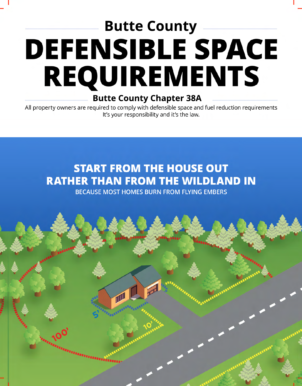# **Butte County DEFENSIBLE SPACE REQUIREMENTS**

### **Butte County Chapter 38A**

All property owners are required to comply with defensible space and fuel reduction requirements It's your responsibility and it's the law.

## **START FROM THE HOUSE OUT RATHER THAN FROM THE WILDLAND IN**

**BECAUSE MOST HOMES BURN FROM FLYING EMBERS**